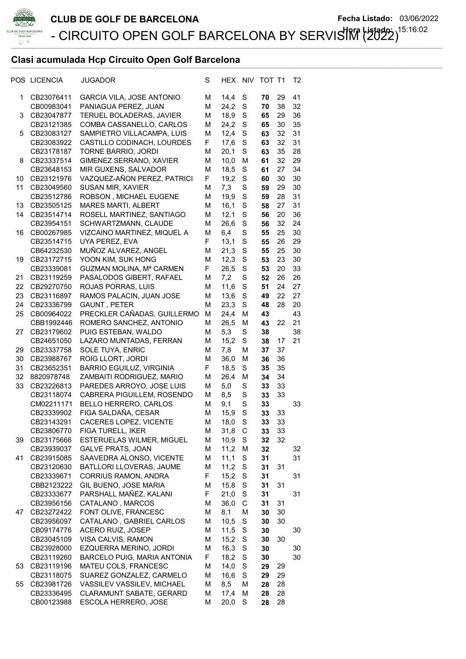

## Clasi acumulada Hcp Circuito Open Golf Barcelona \_\_\_\_\_\_\_\_\_\_\_\_\_\_\_\_\_\_\_\_\_\_\_\_\_\_\_\_\_\_\_\_\_\_\_\_\_\_\_\_\_\_\_\_\_\_\_\_\_\_\_\_\_\_\_\_\_\_\_\_\_\_\_\_\_\_\_\_\_\_\_\_\_\_\_\_\_\_\_\_\_\_\_\_\_\_\_\_\_\_\_\_\_\_\_\_\_\_

|    | POS LICENCIA             | <b>JUGADOR</b>                                      | S      | HEX          | <b>NIV</b>  | TOT T1   |          | T <sub>2</sub> |
|----|--------------------------|-----------------------------------------------------|--------|--------------|-------------|----------|----------|----------------|
| 1  | CB23076411               | <b>GARCIA VILA, JOSE ANTONIO</b>                    | М      | 14,4         | S           | 70       | 29       | 41             |
|    | CB00983041               | PANIAGUA PEREZ, JUAN                                | М      | 24.2         | S           | 70       | 38       | 32             |
| 3  | CB23047877               | TERUEL BOLADERAS, JAVIER                            | М      | 18,9         | S           | 65       | 29       | 36             |
|    | CB23121385               | COMBA CASSANELLO, CARLOS                            | М      | 24,2         | S           | 65       | 30       | 35             |
| 5  | CB23083127               | SAMPIETRO VILLACAMPA, LUIS                          | М      | 12,4         | S           | 63       | 32       | 31             |
|    | CB23083922               | CASTILLO CODINACH, LOURDES                          | F      | 17,6         | S           | 63       | 32       | 31             |
|    | CB23178187               | TORNE BARRIO, JORDI                                 | М      | 20,1         | S           | 63       | 35       | 28             |
| 8  | CB23337514               | GIMENEZ SERRANO, XAVIER                             | М      | 10,0         | M           | 61       | 32       | 29             |
|    | CB23648153               | MIR GUXENS, SALVADOR                                | М      | 18,5         | S           | 61       | 27       | 34             |
| 10 | CB23121976               | VAZQUEZ-AÑON PEREZ, PATRICI                         | F      | 19,2         | S           | 60       | 30       | 30             |
| 11 | CB23049560               | SUSAN MIR, XAVIER                                   | М      | 7,3          | S           | 59       | 29       | 30             |
|    | CB23512786               | ROBSON, MICHAEL EUGENE                              | М      | 19,9         | S           | 59       | 28       | 31             |
| 13 | CB23505125               | MARES MARTI, ALBERT                                 | М      | 16,1         | S           | 58       | 27       | 31             |
| 14 | CB23514714               | ROSELL MARTINEZ, SANTIAGO                           | М      | 12,1         | S           | 56       | 20       | 36             |
|    | CB23954151               | SCHWARTZMANN, CLAUDE                                | М      | 26,6         | S           | 56       | 32       | 24             |
| 16 | CB00267985               | VIZCAINO MARTINEZ, MIQUEL A                         | М      | 6,4          | S           | 55       | 25       | 30             |
|    | CB23514715               | UYA PEREZ, EVA                                      | F      | 13,1         | S           | 55       | 26       | 29             |
|    | CB64232530               | MUÑOZ ALVAREZ, ANGEL                                | М      | 21,3         | S           | 55       | 25       | 30             |
| 19 | CB23172715               | YOON KIM, SUK HONG                                  | М      | 12,3         | S           | 53       | 23       | 30             |
|    | CB23339081               | GUZMAN MOLINA, Mª CARMEN                            | F      | 26,5         | S           | 53       | 20       | 33             |
| 21 | CB23119259               | PASALODOS GIBERT, RAFAEL                            | М      | 7,2          | S           | 52       | 26       | 26             |
| 22 | CB29270750               | ROJAS PORRAS, LUIS                                  | М      | 11,6         | S           | 51       | 24       | 27             |
| 23 | CB23116897               | RAMOS PALACIN, JUAN JOSE                            | М      | 13,6         | S           | 49       | 22       | 27             |
| 24 | CB23336799               | GAUNT, PETER                                        | M      | 23,3         | S           | 48       | 28       | 20             |
| 25 | CB00964022               | PRECKLER CAÑADAS, GUILLERMO                         | M      | 24,4         | M           | 43       |          | 43             |
|    | CBB1992446               | ROMERO SANCHEZ, ANTONIO                             | М      | 26,5         | M           | 43       | 22       | 21             |
| 27 | CB23179602               | PUIG ESTEBAN, WALDO                                 | M      | 5,3          | S           | 38       |          | 38             |
|    | CB24651050               | LAZARO MUNTADAS, FERRAN                             | М      | 15,2         | S           | 38       | 17       | 21             |
| 29 | CB23337758               | SOLE TUYA, ENRIC                                    | М      | 7,8          | М           | 37       | 37       |                |
| 30 | CB23988767               | ROIG LLORT, JORDI                                   | М      | 36,0         | M           | 36       | 36       |                |
| 31 | CB23652351               | <b>BARRIO EGUILUZ, VIRGINIA</b>                     | F      | 18,5         | S           | 35       | 35       |                |
| 32 | 8820978748               | ZAMBAITI RODRIGUEZ, MARIO                           | М      | 26,4         | M           | 34       | 34       |                |
| 33 | CB23226813               | PAREDES ARROYO, JOSE LUIS                           | М      | 5,0          | S           | 33       | 33       |                |
|    | CB23118074               | CABRERA PIGUILLEM, ROSENDO                          | М      | 8,5          | S           | 33       | 33       |                |
|    | CM02211171               | BELLO HERRERO, CARLOS                               | М      | 9,1          | S           | 33       |          | 33             |
|    | CB23339902               | FIGA SALDAÑA, CESAR                                 | М      | 15,9         | S           | 33       | 33       |                |
|    | CB23143291               | CACERES LOPEZ, VICENTE                              | М      | 18,0         | S           | 33       | 33       |                |
|    | CB23806770               | FIGA TURELL, IKER                                   | М      | 31,8         | C           | 33       | 33       |                |
| 39 | CB23175666               | ESTERUELAS WILMER, MIGUEL                           | М      | 10,9         | S           | 32       | 32       |                |
|    | CB23939037               | <b>GALVE PRATS, JOAN</b>                            | М      | 11,2         | M           | 32       |          | 32             |
| 41 | CB23915085               | SAAVEDRA ALONSO, VICENTE                            | М      | 11,1         | S           | 31       |          | 31             |
|    | CB23120630               | BATLLORI LLOVERAS, JAUME                            | М      | 11,2         | S           | 31       | 31       |                |
|    | CB23339671               | CORRIUS RAMON, ANDRA                                | F      | 15,2         | S           | 31       |          | 31             |
|    | CBB2123222               | GIL BUENO, JOSE MARIA                               | М      | 15,8         | S           | 31       | 31       |                |
|    | CB23333677               | PARSHALL MAÑEZ, KALANI                              | F      | 21,0         | S           | 31       |          | 31             |
|    | CB23956156               | CATALANO, MARCOS                                    | М      | 36,0         | C           | 31       | 31       |                |
| 47 | CB23272422               | FONT OLIVE, FRANCESC                                | М      | 8,1          | M           | 30       | 30       |                |
|    | CB23956097               | CATALANO, GABRIEL CARLOS                            | М      | 10,5         | S           | 30       | 30       |                |
|    | CB09174776               | ACERO RUIZ, JOSEP<br>VISA CALVIS, RAMON             | М      | 11,5         | $\mathbb S$ | 30       | 30       | 30             |
|    | CB23045109               |                                                     | М<br>М | 15,2<br>16,3 | S<br>S      | 30       |          |                |
|    | CB23928000               | EZQUERRA MERINO, JORDI                              |        |              |             | 30       |          | 30             |
|    | CB23119260               | BARCELO PUIG, MARIA ANTONIA<br>MATEU COLS, FRANCESC | F.     | 18,2<br>14,0 | S           | 30<br>29 |          | 30             |
| 53 | CB23119196<br>CB23118075 | SUAREZ GONZALEZ, CARMELO                            | м<br>М | 16,6         | S<br>S      | 29       | 29<br>29 |                |
| 55 | CB23981726               | VASSILEV VASSILEV, MICHAEL                          | М      | 8,5          | М           | 28       | 28       |                |
|    | CB23336495               | <b>CLARAMUNT SABATE, GERARD</b>                     | М      | 17,4         | M           | 28       | 28       |                |
|    | CB00123988               | <b>ESCOLA HERRERO, JOSE</b>                         | М      | 20,0         | S           | 28       | 28       |                |
|    |                          |                                                     |        |              |             |          |          |                |